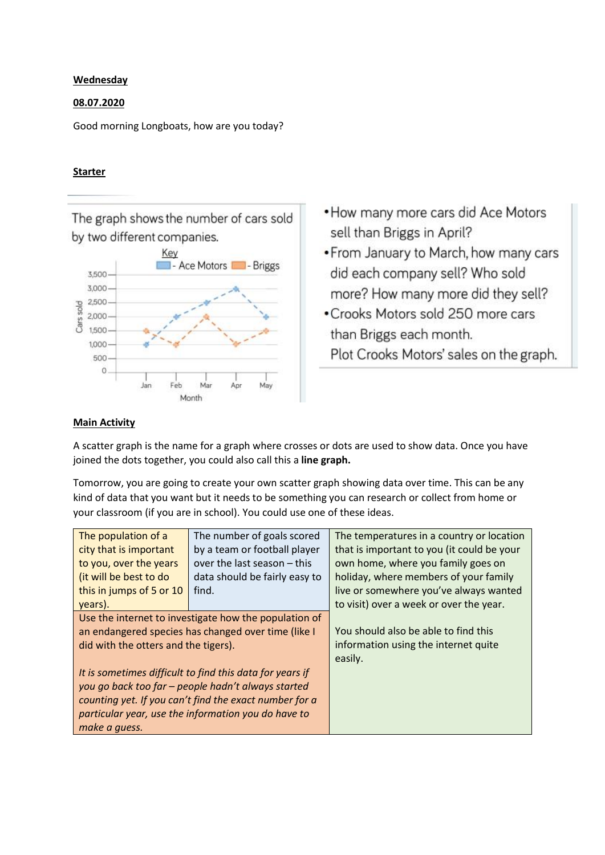## **Wednesday**

## 08.07.2020

Good morning Longboats, how are you today?

## **Starter**

The graph shows the number of cars sold by two different companies.



- How many more cars did Ace Motors sell than Briggs in April?
- From January to March, how many cars did each company sell? Who sold more? How many more did they sell?
- Crooks Motors sold 250 more cars than Briggs each month. Plot Crooks Motors' sales on the graph.

## Main Activity

A scatter graph is the name for a graph where crosses or dots are used to show data. Once you have joined the dots together, you could also call this a line graph.

Tomorrow, you are going to create your own scatter graph showing data over time. This can be any kind of data that you want but it needs to be something you can research or collect from home or your classroom (if you are in school). You could use one of these ideas.

| The population of a                                      | The number of goals scored    | The temperatures in a country or location  |  |
|----------------------------------------------------------|-------------------------------|--------------------------------------------|--|
| city that is important                                   | by a team or football player  | that is important to you (it could be your |  |
| to you, over the years                                   | over the last season - this   | own home, where you family goes on         |  |
| (it will be best to do                                   | data should be fairly easy to | holiday, where members of your family      |  |
| this in jumps of 5 or 10                                 | find.                         | live or somewhere you've always wanted     |  |
| years).                                                  |                               | to visit) over a week or over the year.    |  |
| Use the internet to investigate how the population of    |                               |                                            |  |
| an endangered species has changed over time (like I      |                               | You should also be able to find this       |  |
| did with the otters and the tigers).                     |                               | information using the internet quite       |  |
|                                                          |                               | easily.                                    |  |
| It is sometimes difficult to find this data for years if |                               |                                            |  |
| you go back too far - people hadn't always started       |                               |                                            |  |
| counting yet. If you can't find the exact number for a   |                               |                                            |  |
| particular year, use the information you do have to      |                               |                                            |  |
| make a guess.                                            |                               |                                            |  |